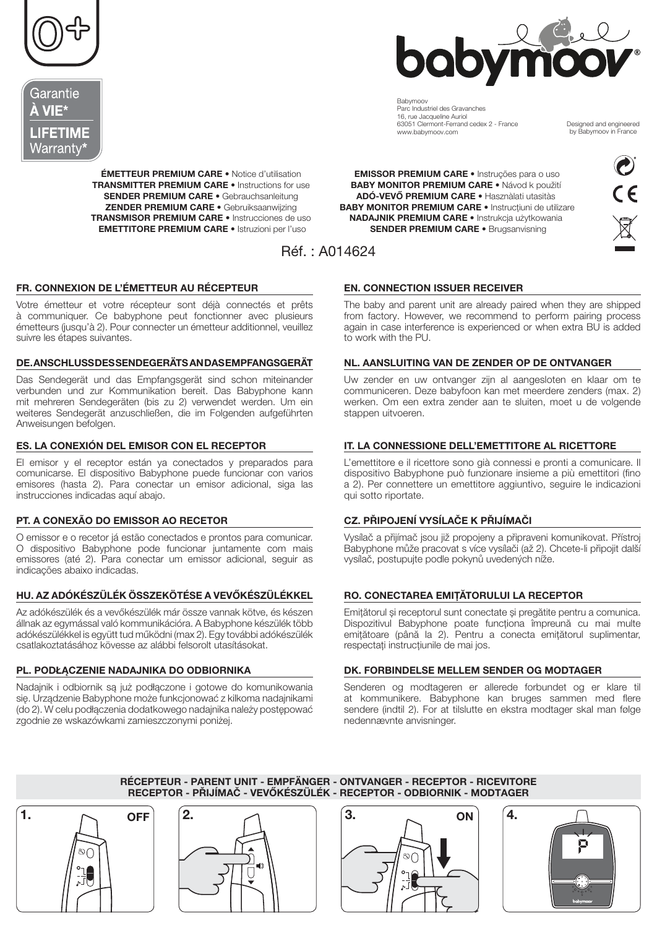





**Bahymooy** Parc Industriel des Gravanches 16, rue Jacqueline Auriol<br>16, rue Jacqueline Auriol<br>63051 Clermont-Ferrand cedex 2 - France www.babymoov.com

Designed and engineered by Babymoov in France

**ÉMETTEUR PREMIUM CARE •** Notice d'utilisation **TRANSMITTER PREMIUM CARE .** Instructions for use **SENDER PREMIUM CARE · Gebrauchsanleitung ZENDER PREMIUM CARE •** Gebruiksaanwijzing TRANSMISOR PREMIUM CARE . Instrucciones de uso **EMETTITORE PREMIUM CARE • Istruzioni per l'uso** 

**EMISSOR PREMIUM CARE •** Instruções para o uso **BABY MONITOR PREMIUM CARE · Návod k použití** ADÓ-VEVŐ PREMIUM CARE · Hasznàlati utasítàs **BABY MONITOR PREMIUM CARE .** Instructiuni de utilizare NADAJNIK PREMIUM CARE · Instrukcja użytkowania **SENDER PREMIUM CARE ·** Brugsanvisning



# FR. CONNEXION DE L'ÉMETTEUR AU RÉCEPTEUR

Votre émetteur et votre récepteur sont déjà connectés et prêts à communiquer. Ce babyphone peut fonctionner avec plusieurs émetteurs (jusqu'à 2). Pour connecter un émetteur additionnel, veuillez suivre les étapes suivantes.

### DE. ANSCHLUSSDESSENDEGERÄTS AND ASEMPFANGSGERÄT

Das Sendegerät und das Empfangsgerät sind schon miteinander verbunden und zur Kommunikation bereit. Das Babyphone kann mit mehreren Sendegeräten (bis zu 2) verwendet werden. Um ein weiteres Sendegerät anzuschließen, die im Folgenden aufgeführten Anweisungen befolgen.

## ES. LA CONEXIÓN DEL EMISOR CON EL RECEPTOR

El emisor y el receptor están ya conectados y preparados para comunicarse. El dispositivo Babyphone puede funcionar con varios emisores (hasta 2). Para conectar un emisor adicional, siga las instrucciones indicadas aquí abajo.

# PT. A CONEXÃO DO EMISSOR AO RECETOR

O emissor e o recetor já estão conectados e prontos para comunicar. O dispositivo Babyphone pode funcionar juntamente com mais emissores (até 2). Para conectar um emissor adicional, seguir as indicações abaixo indicadas.

## HU. AZ ADÓKÉSZÜLÉK ÖSSZEKÖTÉSE A VEVŐKÉSZÜLÉKKEL

Az adókészülék és a vevőkészülék már össze vannak kötve, és készen állnak az egymással való kommunikációra. A Babyphone készülék több adókészülékkel is együtt tud működni (max 2). Egy további adókészülék csatlakoztatásához kövesse az alábbi felsorolt utasításokat.

## PL. PODŁĄCZENIE NADAJNIKA DO ODBIORNIKA

Nadajnik i odbiornik są już podłączone i gotowe do komunikowania się. Urządzenie Babyphone może funkcjonować z kilkoma nadajnikami (do 2). W celu podłączenia dodatkowego nadajnika należy postępować zgodnie ze wskazówkami zamieszczonymi poniżej.

## **EN. CONNECTION ISSUER RECEIVER**

The baby and parent unit are already paired when they are shipped from factory. However, we recommend to perform pairing process again in case interference is experienced or when extra BU is added to work with the PU.

## NL. AANSLUITING VAN DE ZENDER OP DE ONTVANGER

Uw zender en uw ontvanger zijn al aangesloten en klaar om te communiceren. Deze babyfoon kan met meerdere zenders (max. 2) werken. Om een extra zender aan te sluiten, moet u de volgende stappen uitvoeren.

## IT. LA CONNESSIONE DELL'EMETTITORE AL RICETTORE

L'emettitore e il ricettore sono già connessi e pronti a comunicare. Il dispositivo Babyphone può funzionare insieme a più emettitori (fino a 2). Per connettere un emettitore aggiuntivo, seguire le indicazioni qui sotto riportate.

# CZ. PŘIPOJENÍ VYSÍLAČE K PŘIJÍMAČI

Vysílač a přijímač jsou již propojeny a připraveni komunikovat. Přístroj Babyphone může pracovat s více vysílači (až 2). Chcete-li připojit další vysílač, postupujte podle pokynů uvedených níže.

## RO. CONECTAREA EMITĂTORULUI LA RECEPTOR

Emitătorul și receptorul sunt conectate și pregătite pentru a comunica. Dispozitivul Babyphone poate funcționa împreună cu mai multe emitătoare (până la 2). Pentru a conecta emitătorul suplimentar, respectați instrucțiunile de mai jos.

#### DK. FORBINDELSE MELLEM SENDER OG MODTAGER

Senderen og modtageren er allerede forbundet og er klare til at kommunikere. Babyphone kan bruges sammen med flere sendere (indtil 2). For at tilslutte en ekstra modtager skal man følge nedennævnte anvisninger.

## RÉCEPTEUR - PARENT UNIT - EMPFÄNGER - ONTVANGER - RECEPTOR - RICEVITORE RECEPTOR - PŘIJÍMAČ - VEVŐKÉSZÜLÉK - RECEPTOR - ODBIORNIK - MODTAGER

 $\blacksquare$ **OFF** லி t  $\vec{J}$